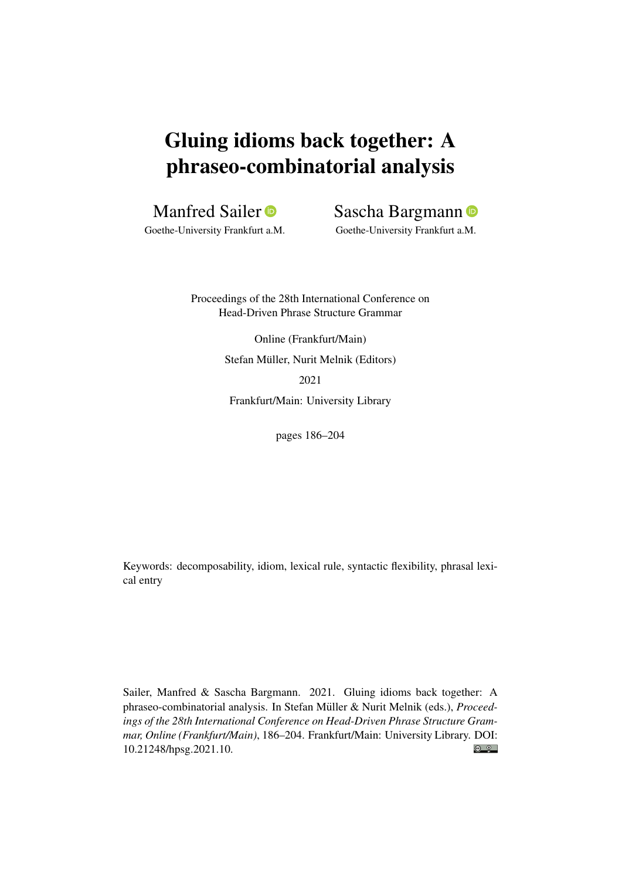# Gluing idioms back together: A phraseo-combinatorial analysis

## Manfred Sailer<sup>®</sup>

Goethe-University Frankfurt a.M.

Sascha Bargmann

Goethe-University Frankfurt a.M.

Proceedings of the 28th International Conference on Head-Driven Phrase Structure Grammar

> Online (Frankfurt/Main) Stefan Müller, Nurit Melnik (Editors) 2021

Frankfurt/Main: University Library

pages 186–204

Keywords: decomposability, idiom, lexical rule, syntactic flexibility, phrasal lexical entry

Sailer, Manfred & Sascha Bargmann. 2021. Gluing idioms back together: A phraseo-combinatorial analysis. In Stefan Müller & Nurit Melnik (eds.), *Proceedings of the 28th International Conference on Head-Driven Phrase Structure Grammar, Online (Frankfurt/Main)*, 186–204. Frankfurt/Main: University Library. DOI:  $\odot$   $\odot$ [10.21248/hpsg.2021.10.](http://doi.org/10.21248/hpsg.2021.10)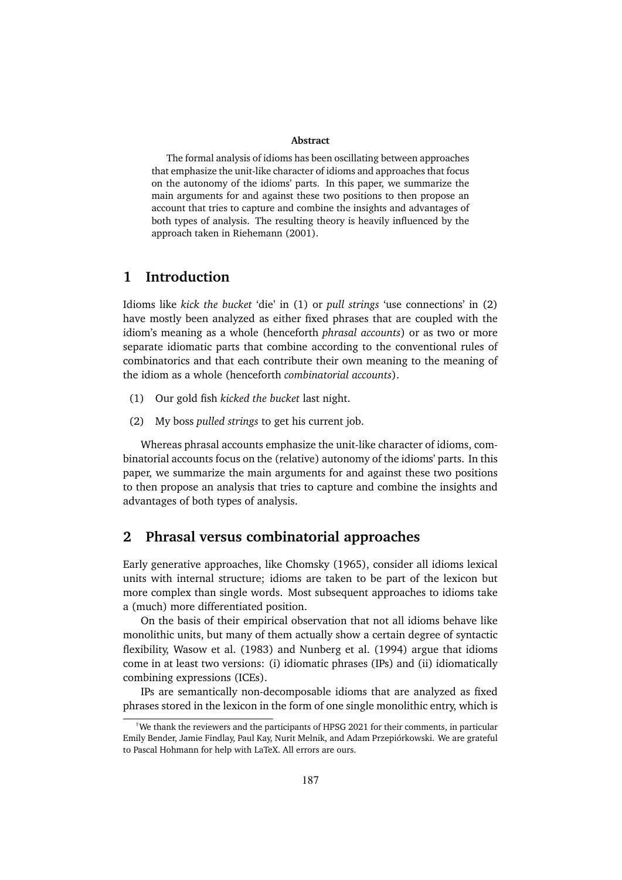#### **Abstract**

The formal analysis of idioms has been oscillating between approaches that emphasize the unit-like character of idioms and approaches that focus on the autonomy of the idioms' parts. In this paper, we summarize the main arguments for and against these two positions to then propose an account that tries to capture and combine the insights and advantages of both types of analysis. The resulting theory is heavily influenced by the approach taken in Riehemann (2001).

### **1 Introduction**

Idioms like *kick the bucket* 'die' in (1) or *pull strings* 'use connections' in (2) have mostly been analyzed as either fixed phrases that are coupled with the idiom's meaning as a whole (henceforth *phrasal accounts*) or as two or more separate idiomatic parts that combine according to the conventional rules of combinatorics and that each contribute their own meaning to the meaning of the idiom as a whole (henceforth *combinatorial accounts*).

- (1) Our gold fish *kicked the bucket* last night.
- (2) My boss *pulled strings* to get his current job.

Whereas phrasal accounts emphasize the unit-like character of idioms, combinatorial accounts focus on the (relative) autonomy of the idioms' parts. In this paper, we summarize the main arguments for and against these two positions to then propose an analysis that tries to capture and combine the insights and advantages of both types of analysis.

#### **2 Phrasal versus combinatorial approaches**

Early generative approaches, like Chomsky (1965), consider all idioms lexical units with internal structure; idioms are taken to be part of the lexicon but more complex than single words. Most subsequent approaches to idioms take a (much) more differentiated position.

On the basis of their empirical observation that not all idioms behave like monolithic units, but many of them actually show a certain degree of syntactic flexibility, Wasow et al. (1983) and Nunberg et al. (1994) argue that idioms come in at least two versions: (i) idiomatic phrases (IPs) and (ii) idiomatically combining expressions (ICEs).

IPs are semantically non-decomposable idioms that are analyzed as fixed phrases stored in the lexicon in the form of one single monolithic entry, which is

<sup>†</sup>We thank the reviewers and the participants of HPSG 2021 for their comments, in particular Emily Bender, Jamie Findlay, Paul Kay, Nurit Melnik, and Adam Przepiórkowski. We are grateful to Pascal Hohmann for help with LaTeX. All errors are ours.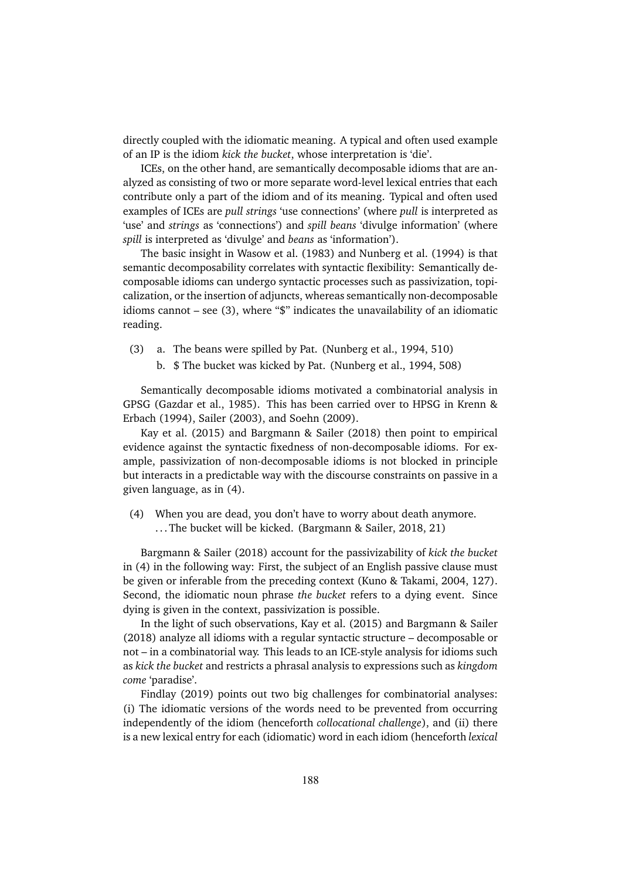directly coupled with the idiomatic meaning. A typical and often used example of an IP is the idiom *kick the bucket*, whose interpretation is 'die'.

ICEs, on the other hand, are semantically decomposable idioms that are analyzed as consisting of two or more separate word-level lexical entries that each contribute only a part of the idiom and of its meaning. Typical and often used examples of ICEs are *pull strings* 'use connections' (where *pull* is interpreted as 'use' and *strings* as 'connections') and *spill beans* 'divulge information' (where *spill* is interpreted as 'divulge' and *beans* as 'information').

The basic insight in Wasow et al. (1983) and Nunberg et al. (1994) is that semantic decomposability correlates with syntactic flexibility: Semantically decomposable idioms can undergo syntactic processes such as passivization, topicalization, or the insertion of adjuncts, whereas semantically non-decomposable idioms cannot – see (3), where "\$" indicates the unavailability of an idiomatic reading.

- (3) a. The beans were spilled by Pat. (Nunberg et al., 1994, 510)
	- b. \$ The bucket was kicked by Pat. (Nunberg et al., 1994, 508)

Semantically decomposable idioms motivated a combinatorial analysis in GPSG (Gazdar et al., 1985). This has been carried over to HPSG in Krenn & Erbach (1994), Sailer (2003), and Soehn (2009).

Kay et al. (2015) and Bargmann & Sailer (2018) then point to empirical evidence against the syntactic fixedness of non-decomposable idioms. For example, passivization of non-decomposable idioms is not blocked in principle but interacts in a predictable way with the discourse constraints on passive in a given language, as in (4).

(4) When you are dead, you don't have to worry about death anymore. . . . The bucket will be kicked. (Bargmann & Sailer, 2018, 21)

Bargmann & Sailer (2018) account for the passivizability of *kick the bucket* in (4) in the following way: First, the subject of an English passive clause must be given or inferable from the preceding context (Kuno & Takami, 2004, 127). Second, the idiomatic noun phrase *the bucket* refers to a dying event. Since dying is given in the context, passivization is possible.

In the light of such observations, Kay et al. (2015) and Bargmann & Sailer (2018) analyze all idioms with a regular syntactic structure – decomposable or not – in a combinatorial way. This leads to an ICE-style analysis for idioms such as *kick the bucket* and restricts a phrasal analysis to expressions such as *kingdom come* 'paradise'.

Findlay (2019) points out two big challenges for combinatorial analyses: (i) The idiomatic versions of the words need to be prevented from occurring independently of the idiom (henceforth *collocational challenge*), and (ii) there is a new lexical entry for each (idiomatic) word in each idiom (henceforth *lexical*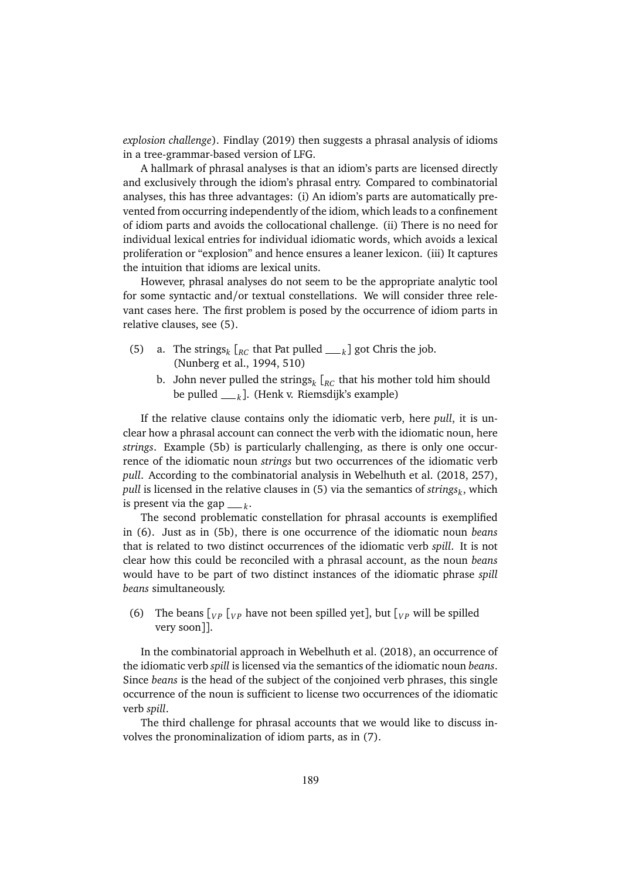*explosion challenge*). Findlay (2019) then suggests a phrasal analysis of idioms in a tree-grammar-based version of LFG.

A hallmark of phrasal analyses is that an idiom's parts are licensed directly and exclusively through the idiom's phrasal entry. Compared to combinatorial analyses, this has three advantages: (i) An idiom's parts are automatically prevented from occurring independently of the idiom, which leads to a confinement of idiom parts and avoids the collocational challenge. (ii) There is no need for individual lexical entries for individual idiomatic words, which avoids a lexical proliferation or "explosion" and hence ensures a leaner lexicon. (iii) It captures the intuition that idioms are lexical units.

However, phrasal analyses do not seem to be the appropriate analytic tool for some syntactic and/or textual constellations. We will consider three relevant cases here. The first problem is posed by the occurrence of idiom parts in relative clauses, see (5).

- (5) a. The strings<sub>k</sub>  $\left[_{RC}$  that Pat pulled <sub>*k*</sub></sub> got Chris the job. (Nunberg et al., 1994, 510)
	- b. John never pulled the strings*<sup>k</sup>* [*RC* that his mother told him should be pulled *<sup>k</sup>* ]. (Henk v. Riemsdijk's example)

If the relative clause contains only the idiomatic verb, here *pull*, it is unclear how a phrasal account can connect the verb with the idiomatic noun, here *strings*. Example (5b) is particularly challenging, as there is only one occurrence of the idiomatic noun *strings* but two occurrences of the idiomatic verb *pull*. According to the combinatorial analysis in Webelhuth et al. (2018, 257), *pull* is licensed in the relative clauses in (5) via the semantics of *strings<sup>k</sup>* , which is present via the gap  $\_\_\,k$ .

The second problematic constellation for phrasal accounts is exemplified in (6). Just as in (5b), there is one occurrence of the idiomatic noun *beans* that is related to two distinct occurrences of the idiomatic verb *spill*. It is not clear how this could be reconciled with a phrasal account, as the noun *beans* would have to be part of two distinct instances of the idiomatic phrase *spill beans* simultaneously.

(6) The beans  $\begin{bmatrix} V_P & V_P \end{bmatrix}$  have not been spilled yet], but  $\begin{bmatrix} V_P & W \end{bmatrix}$  be spilled very soon]].

In the combinatorial approach in Webelhuth et al. (2018), an occurrence of the idiomatic verb *spill* is licensed via the semantics of the idiomatic noun *beans*. Since *beans* is the head of the subject of the conjoined verb phrases, this single occurrence of the noun is sufficient to license two occurrences of the idiomatic verb *spill*.

The third challenge for phrasal accounts that we would like to discuss involves the pronominalization of idiom parts, as in (7).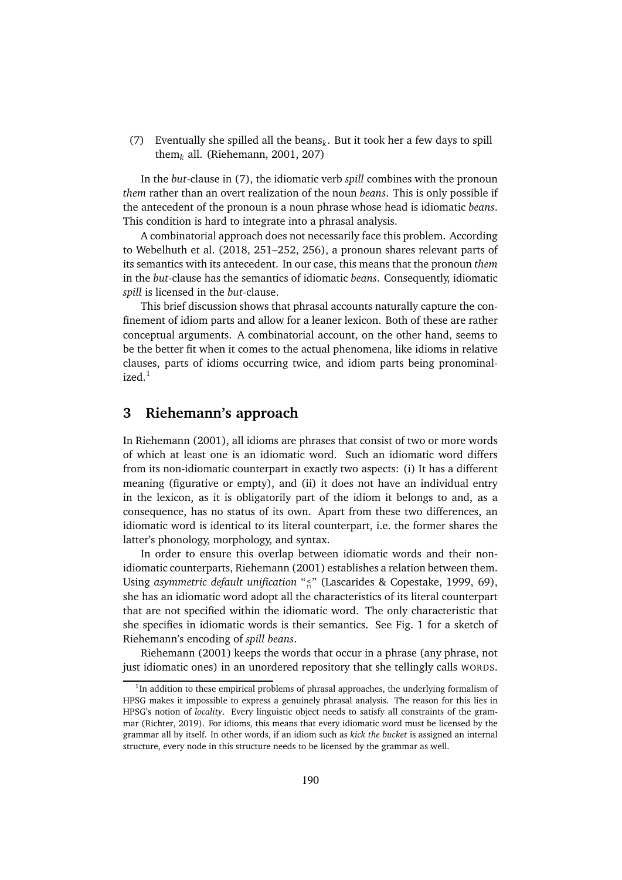(7) Eventually she spilled all the beans $_k$ . But it took her a few days to spill them*<sup>k</sup>* all. (Riehemann, 2001, 207)

In the *but*-clause in (7), the idiomatic verb *spill* combines with the pronoun *them* rather than an overt realization of the noun *beans*. This is only possible if the antecedent of the pronoun is a noun phrase whose head is idiomatic *beans*. This condition is hard to integrate into a phrasal analysis.

A combinatorial approach does not necessarily face this problem. According to Webelhuth et al. (2018, 251–252, 256), a pronoun shares relevant parts of its semantics with its antecedent. In our case, this means that the pronoun *them* in the *but*-clause has the semantics of idiomatic *beans*. Consequently, idiomatic *spill* is licensed in the *but*-clause.

This brief discussion shows that phrasal accounts naturally capture the confinement of idiom parts and allow for a leaner lexicon. Both of these are rather conceptual arguments. A combinatorial account, on the other hand, seems to be the better fit when it comes to the actual phenomena, like idioms in relative clauses, parts of idioms occurring twice, and idiom parts being pronominalized.<sup>1</sup>

#### **3 Riehemann's approach**

In Riehemann (2001), all idioms are phrases that consist of two or more words of which at least one is an idiomatic word. Such an idiomatic word differs from its non-idiomatic counterpart in exactly two aspects: (i) It has a different meaning (figurative or empty), and (ii) it does not have an individual entry in the lexicon, as it is obligatorily part of the idiom it belongs to and, as a consequence, has no status of its own. Apart from these two differences, an idiomatic word is identical to its literal counterpart, i.e. the former shares the latter's phonology, morphology, and syntax.

In order to ensure this overlap between idiomatic words and their nonidiomatic counterparts, Riehemann (2001) establishes a relation between them. Using *asymmetric default unification* " **<** " (Lascarides & Copestake, 1999, 69), she has an idiomatic word adopt all the characteristics of its literal counterpart that are not specified within the idiomatic word. The only characteristic that she specifies in idiomatic words is their semantics. See Fig. 1 for a sketch of Riehemann's encoding of *spill beans*.

Riehemann (2001) keeps the words that occur in a phrase (any phrase, not just idiomatic ones) in an unordered repository that she tellingly calls WORDS.

<sup>&</sup>lt;sup>1</sup>In addition to these empirical problems of phrasal approaches, the underlying formalism of HPSG makes it impossible to express a genuinely phrasal analysis. The reason for this lies in HPSG's notion of *locality*. Every linguistic object needs to satisfy all constraints of the grammar (Richter, 2019). For idioms, this means that every idiomatic word must be licensed by the grammar all by itself. In other words, if an idiom such as *kick the bucket* is assigned an internal structure, every node in this structure needs to be licensed by the grammar as well.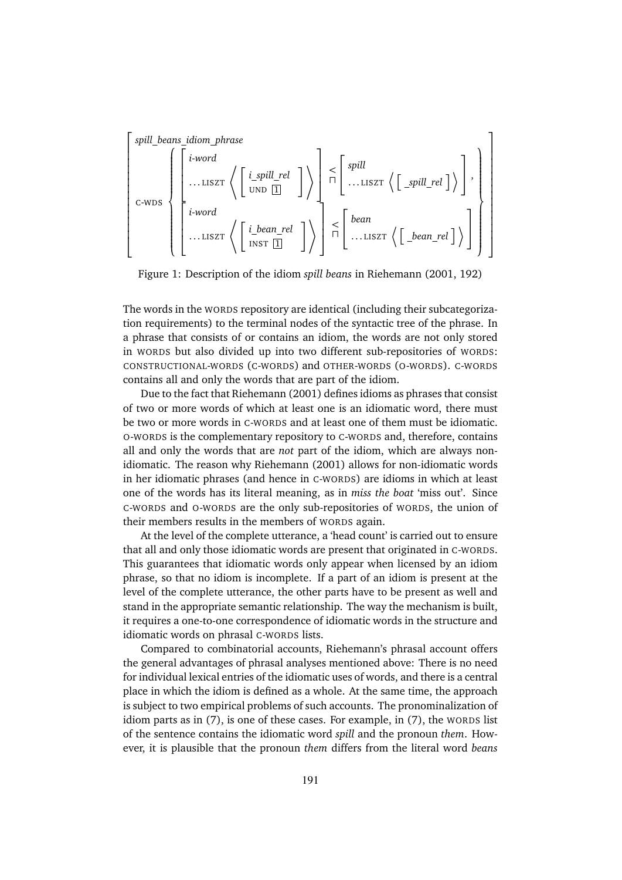$$
\left[\begin{array}{c}\text{spill}\_\text{beans\_idiom}\_\text{phrase}\\\ \left(\begin{array}{c}\begin{bmatrix}i\text{-word}\\\dots\text{LISZT}\end{bmatrix}\left\{\begin{bmatrix}i\text{-spill}\_\text{rel}\\\text{UND }\underline{\mathbb{I}}\end{bmatrix}\right\}\end{array}\right]\right.\times\left[\begin{array}{c}\text{spill}\\\dots\text{LISZT}\end{array}\left\{\begin{bmatrix}spill\_\text{rel}\\\text{LISZT}\end{bmatrix}\right\}\end{array}\right],\right]
$$
\n
$$
\left[\begin{array}{c}\text{c-wDS}\\\text{i-word}\\\dots\text{LISZT}\end{array}\left\{\begin{bmatrix}i\text{-bean}\_\text{rel}\\\text{INST }\underline{\mathbb{I}}\end{bmatrix}\right\}\right]\right]
$$

Figure 1: Description of the idiom *spill beans* in Riehemann (2001, 192)

The words in the WORDS repository are identical (including their subcategorization requirements) to the terminal nodes of the syntactic tree of the phrase. In a phrase that consists of or contains an idiom, the words are not only stored in WORDS but also divided up into two different sub-repositories of WORDS: CONSTRUCTIONAL-WORDS (C-WORDS) and OTHER-WORDS (O-WORDS). C-WORDS contains all and only the words that are part of the idiom.

Due to the fact that Riehemann (2001) defines idioms as phrases that consist of two or more words of which at least one is an idiomatic word, there must be two or more words in C-WORDS and at least one of them must be idiomatic. O-WORDS is the complementary repository to C-WORDS and, therefore, contains all and only the words that are *not* part of the idiom, which are always nonidiomatic. The reason why Riehemann (2001) allows for non-idiomatic words in her idiomatic phrases (and hence in C-WORDS) are idioms in which at least one of the words has its literal meaning, as in *miss the boat* 'miss out'. Since C-WORDS and O-WORDS are the only sub-repositories of WORDS, the union of their members results in the members of WORDS again.

At the level of the complete utterance, a 'head count' is carried out to ensure that all and only those idiomatic words are present that originated in C-WORDS. This guarantees that idiomatic words only appear when licensed by an idiom phrase, so that no idiom is incomplete. If a part of an idiom is present at the level of the complete utterance, the other parts have to be present as well and stand in the appropriate semantic relationship. The way the mechanism is built, it requires a one-to-one correspondence of idiomatic words in the structure and idiomatic words on phrasal C-WORDS lists.

Compared to combinatorial accounts, Riehemann's phrasal account offers the general advantages of phrasal analyses mentioned above: There is no need for individual lexical entries of the idiomatic uses of words, and there is a central place in which the idiom is defined as a whole. At the same time, the approach is subject to two empirical problems of such accounts. The pronominalization of idiom parts as in (7), is one of these cases. For example, in (7), the WORDS list of the sentence contains the idiomatic word *spill* and the pronoun *them*. However, it is plausible that the pronoun *them* differs from the literal word *beans*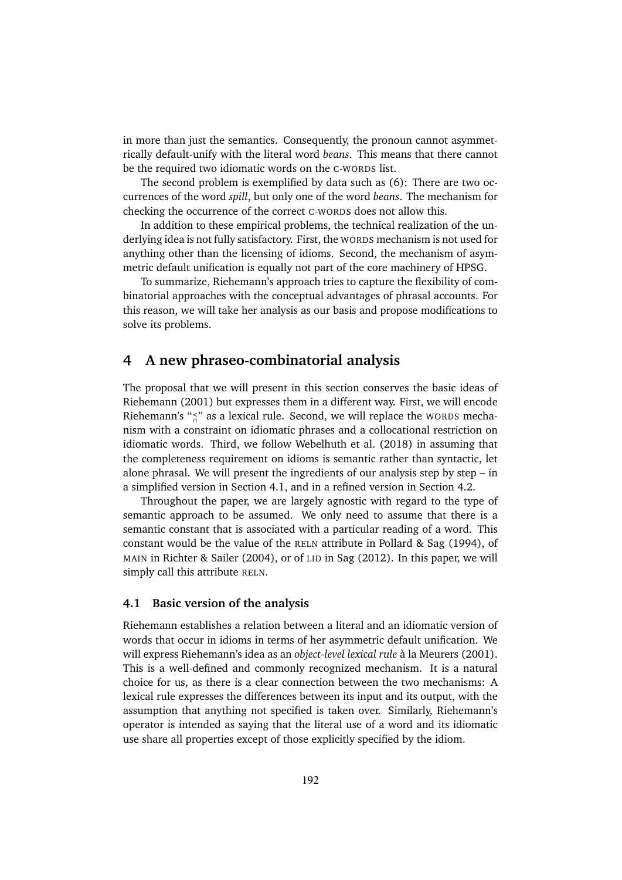in more than just the semantics. Consequently, the pronoun cannot asymmetrically default-unify with the literal word *beans*. This means that there cannot be the required two idiomatic words on the C-WORDS list.

The second problem is exemplified by data such as (6): There are two occurrences of the word *spill*, but only one of the word *beans*. The mechanism for checking the occurrence of the correct C-WORDS does not allow this.

In addition to these empirical problems, the technical realization of the underlying idea is not fully satisfactory. First, the WORDS mechanism is not used for anything other than the licensing of idioms. Second, the mechanism of asymmetric default unification is equally not part of the core machinery of HPSG.

To summarize, Riehemann's approach tries to capture the flexibility of combinatorial approaches with the conceptual advantages of phrasal accounts. For this reason, we will take her analysis as our basis and propose modifications to solve its problems.

## **4 A new phraseo-combinatorial analysis**

The proposal that we will present in this section conserves the basic ideas of Riehemann (2001) but expresses them in a different way. First, we will encode Riehemann's "s<sup>-</sup>" as a lexical rule. Second, we will replace the worns mechanism with a constraint on idiomatic phrases and a collocational restriction on idiomatic words. Third, we follow Webelhuth et al. (2018) in assuming that the completeness requirement on idioms is semantic rather than syntactic, let alone phrasal. We will present the ingredients of our analysis step by step – in a simplified version in Section 4.1, and in a refined version in Section 4.2.

Throughout the paper, we are largely agnostic with regard to the type of semantic approach to be assumed. We only need to assume that there is a semantic constant that is associated with a particular reading of a word. This constant would be the value of the RELN attribute in Pollard & Sag (1994), of MAIN in Richter & Sailer (2004), or of LID in Sag (2012). In this paper, we will simply call this attribute RELN.

#### **4.1 Basic version of the analysis**

Riehemann establishes a relation between a literal and an idiomatic version of words that occur in idioms in terms of her asymmetric default unification. We will express Riehemann's idea as an *object-level lexical rule* à la Meurers (2001). This is a well-defined and commonly recognized mechanism. It is a natural choice for us, as there is a clear connection between the two mechanisms: A lexical rule expresses the differences between its input and its output, with the assumption that anything not specified is taken over. Similarly, Riehemann's operator is intended as saying that the literal use of a word and its idiomatic use share all properties except of those explicitly specified by the idiom.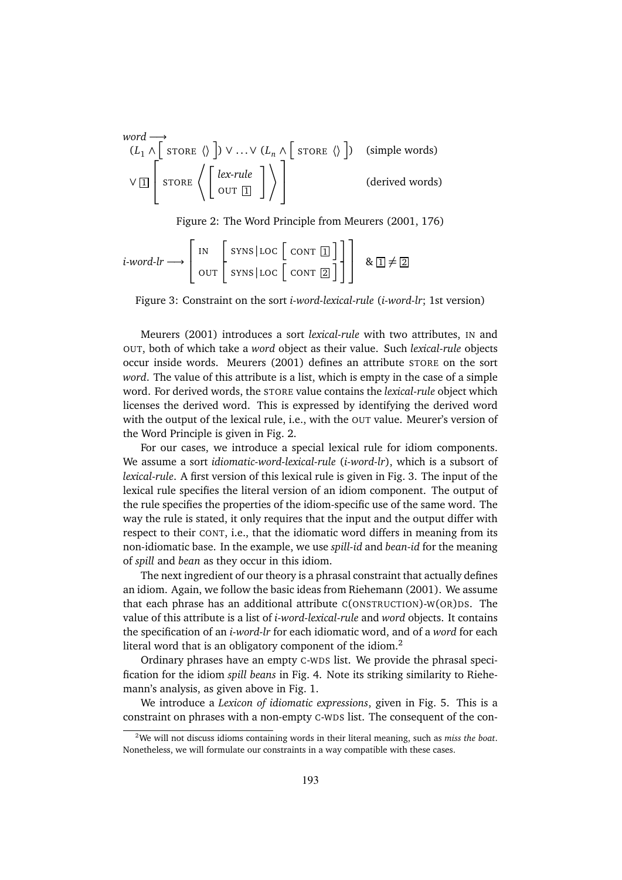\n
$$
\text{word} \rightarrow
$$
\n $(L_1 \land \left[ \text{STOP } \langle \rangle \right] ) \lor \dots \lor (L_n \land \left[ \text{STOP } \langle \rangle \right])$ \n $( \text{simple words})$ \n $\lor \boxed{1}$ \n $\text{STOP } \left\langle \left[ \text{lex-rule} \right] \right] \right\}$ \n $( \text{derived words})$ \n

Figure 2: The Word Principle from Meurers (2001, 176)

$$
i\text{-}word\text{-}lr \longrightarrow \left[\begin{array}{c} \text{IN} \\ \text{OUT} \end{array} \middle| \begin{array}{c} \text{SYNS} \mid \text{LOC} \end{array} \left[ \begin{array}{c} \text{CONT} \; \boxed{1} \\ \text{ONT} \; \boxed{2} \end{array} \right] \right] \quad \& \; \boxed{1} \neq \boxed{2}
$$

Figure 3: Constraint on the sort *i-word-lexical-rule* (*i-word-lr*; 1st version)

Meurers (2001) introduces a sort *lexical-rule* with two attributes, IN and OUT, both of which take a *word* object as their value. Such *lexical-rule* objects occur inside words. Meurers (2001) defines an attribute STORE on the sort *word*. The value of this attribute is a list, which is empty in the case of a simple word. For derived words, the STORE value contains the *lexical-rule* object which licenses the derived word. This is expressed by identifying the derived word with the output of the lexical rule, i.e., with the OUT value. Meurer's version of the Word Principle is given in Fig. 2.

For our cases, we introduce a special lexical rule for idiom components. We assume a sort *idiomatic-word-lexical-rule* (*i-word-lr*), which is a subsort of *lexical-rule*. A first version of this lexical rule is given in Fig. 3. The input of the lexical rule specifies the literal version of an idiom component. The output of the rule specifies the properties of the idiom-specific use of the same word. The way the rule is stated, it only requires that the input and the output differ with respect to their CONT, i.e., that the idiomatic word differs in meaning from its non-idiomatic base. In the example, we use *spill-id* and *bean-id* for the meaning of *spill* and *bean* as they occur in this idiom.

The next ingredient of our theory is a phrasal constraint that actually defines an idiom. Again, we follow the basic ideas from Riehemann (2001). We assume that each phrase has an additional attribute C(ONSTRUCTION)-W(OR)DS. The value of this attribute is a list of *i-word-lexical-rule* and *word* objects. It contains the specification of an *i-word-lr* for each idiomatic word, and of a *word* for each literal word that is an obligatory component of the idiom.<sup>2</sup>

Ordinary phrases have an empty C-WDS list. We provide the phrasal specification for the idiom *spill beans* in Fig. 4. Note its striking similarity to Riehemann's analysis, as given above in Fig. 1.

We introduce a *Lexicon of idiomatic expressions*, given in Fig. 5. This is a constraint on phrases with a non-empty C-WDS list. The consequent of the con-

<sup>2</sup>We will not discuss idioms containing words in their literal meaning, such as *miss the boat*. Nonetheless, we will formulate our constraints in a way compatible with these cases.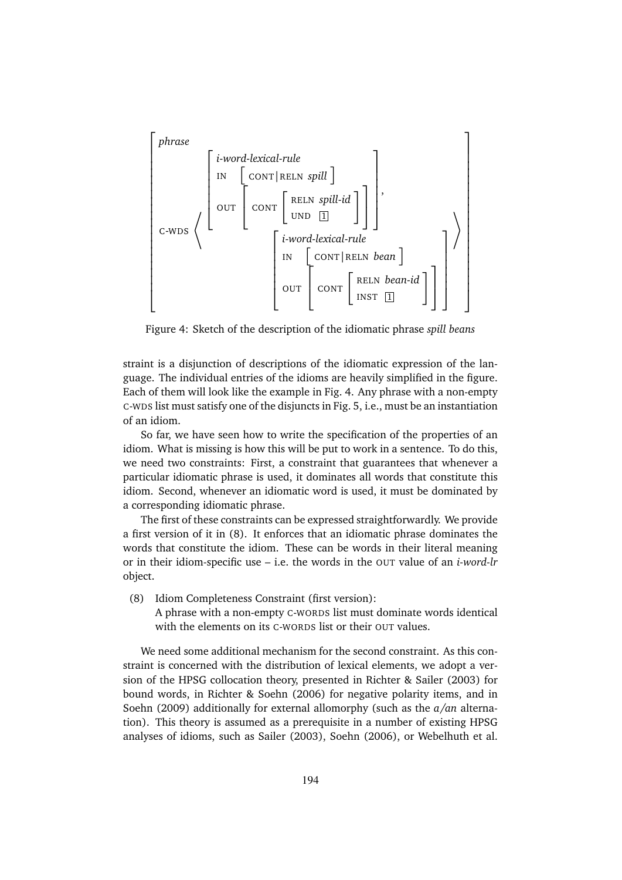

Figure 4: Sketch of the description of the idiomatic phrase *spill beans*

straint is a disjunction of descriptions of the idiomatic expression of the language. The individual entries of the idioms are heavily simplified in the figure. Each of them will look like the example in Fig. 4. Any phrase with a non-empty C-WDS list must satisfy one of the disjuncts in Fig. 5, i.e., must be an instantiation of an idiom.

So far, we have seen how to write the specification of the properties of an idiom. What is missing is how this will be put to work in a sentence. To do this, we need two constraints: First, a constraint that guarantees that whenever a particular idiomatic phrase is used, it dominates all words that constitute this idiom. Second, whenever an idiomatic word is used, it must be dominated by a corresponding idiomatic phrase.

The first of these constraints can be expressed straightforwardly. We provide a first version of it in (8). It enforces that an idiomatic phrase dominates the words that constitute the idiom. These can be words in their literal meaning or in their idiom-specific use – i.e. the words in the OUT value of an *i-word-lr* object.

(8) Idiom Completeness Constraint (first version):

A phrase with a non-empty C-WORDS list must dominate words identical with the elements on its C-WORDS list or their OUT values.

We need some additional mechanism for the second constraint. As this constraint is concerned with the distribution of lexical elements, we adopt a version of the HPSG collocation theory, presented in Richter & Sailer (2003) for bound words, in Richter & Soehn (2006) for negative polarity items, and in Soehn (2009) additionally for external allomorphy (such as the *a/an* alternation). This theory is assumed as a prerequisite in a number of existing HPSG analyses of idioms, such as Sailer (2003), Soehn (2006), or Webelhuth et al.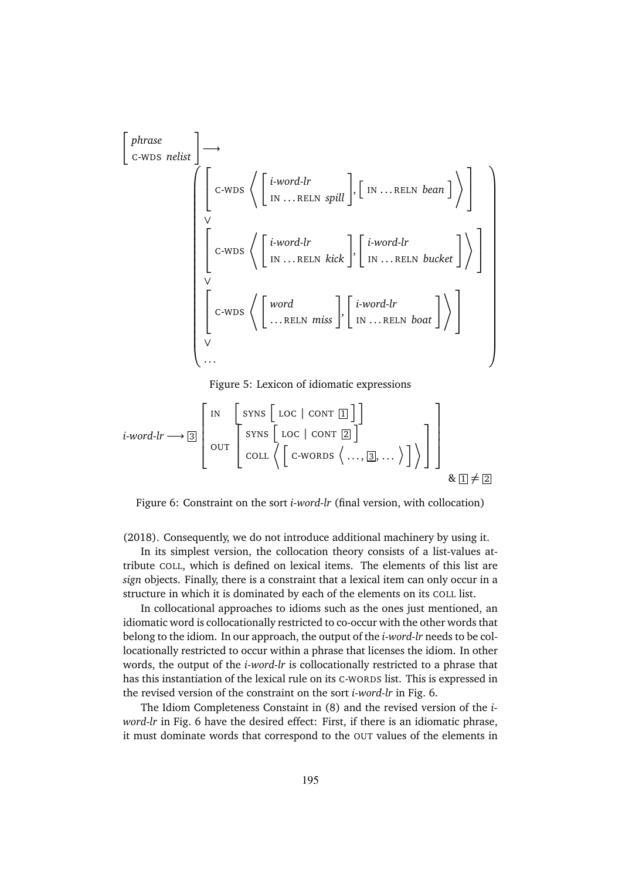$$
\begin{bmatrix}\n\text{phrase} \\
\text{c-wDs} \text{ relist}\n\end{bmatrix}\n\rightarrow\n\begin{bmatrix}\n\text{c-wDs} \left\langle \begin{bmatrix}\n\text{i-word-lr} \\
\text{IN } ... \text{RELN } \text{spill}\n\end{bmatrix}, \begin{bmatrix}\n\text{IN } ... \text{RELN } \text{bean}\n\end{bmatrix} \right\rangle\n\end{bmatrix}
$$
\n
$$
\begin{bmatrix}\n\text{c-wDs} \left\langle \begin{bmatrix}\n\text{i-word-lr} \\
\text{IN } ... \text{RELN } \text{kick}\n\end{bmatrix}, \begin{bmatrix}\n\text{i-word-lr} \\
\text{IN } ... \text{RELN } \text{bucket}\n\end{bmatrix} \right\rangle\n\end{bmatrix}
$$
\n
$$
\begin{bmatrix}\n\text{c-wDs} \left\langle \begin{bmatrix}\n\text{word} \\
... \text{RELN } \text{miss}\n\end{bmatrix}, \begin{bmatrix}\n\text{i-word-lr} \\
\text{IN } ... \text{RELN } \text{boat}\n\end{bmatrix} \right\rangle\n\end{bmatrix}
$$

Figure 5: Lexicon of idiomatic expressions

$$
i\text{-}word\text{-}lr \longrightarrow \boxed{3}
$$
\n
$$
\begin{bmatrix}\n\text{IN} & \begin{bmatrix}\n\text{SYNS} & \begin{bmatrix}\n\text{LOC} \mid \text{CONT}\n\end{bmatrix}\n\end{bmatrix} \\
\text{OUT} & \begin{bmatrix}\n\text{SYNS} & \begin{bmatrix}\n\text{LOC} \mid \text{CONT}\n\end{bmatrix}\n\end{bmatrix} \\
\text{COLL} & \begin{bmatrix}\n\text{C-WORDS} & \langle \dots, \boxed{3}, \dots \rangle\n\end{bmatrix}\n\end{bmatrix}\n\end{bmatrix}
$$
\n
$$
\& \boxed{1 \neq \boxed{2}}
$$

Figure 6: Constraint on the sort *i-word-lr* (final version, with collocation)

(2018). Consequently, we do not introduce additional machinery by using it.

In its simplest version, the collocation theory consists of a list-values attribute COLL, which is defined on lexical items. The elements of this list are *sign* objects. Finally, there is a constraint that a lexical item can only occur in a structure in which it is dominated by each of the elements on its COLL list.

In collocational approaches to idioms such as the ones just mentioned, an idiomatic word is collocationally restricted to co-occur with the other words that belong to the idiom. In our approach, the output of the *i-word-lr* needs to be collocationally restricted to occur within a phrase that licenses the idiom. In other words, the output of the *i-word-lr* is collocationally restricted to a phrase that has this instantiation of the lexical rule on its C-WORDS list. This is expressed in the revised version of the constraint on the sort *i-word-lr* in Fig. 6.

The Idiom Completeness Constaint in (8) and the revised version of the *iword-lr* in Fig. 6 have the desired effect: First, if there is an idiomatic phrase, it must dominate words that correspond to the OUT values of the elements in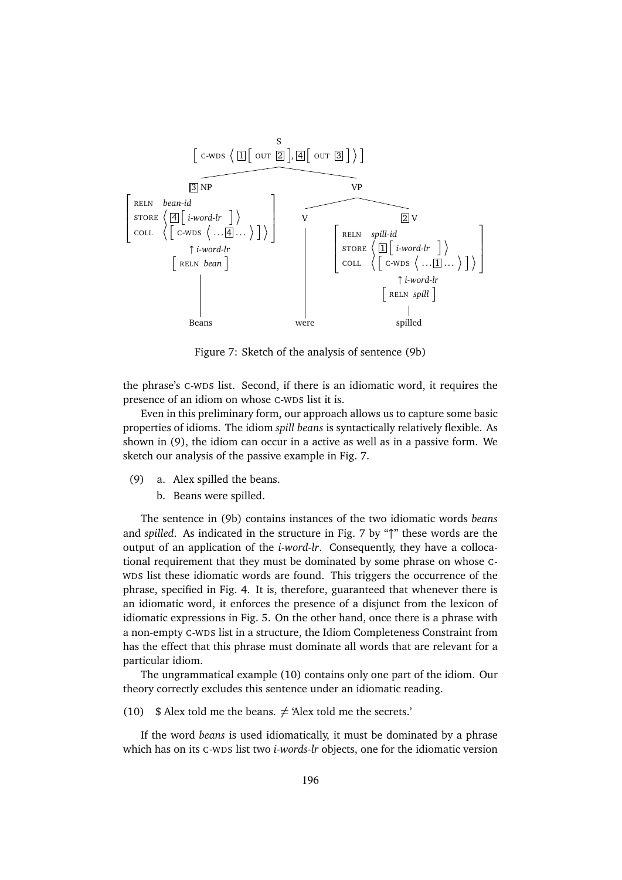

Figure 7: Sketch of the analysis of sentence (9b)

the phrase's C-WDS list. Second, if there is an idiomatic word, it requires the presence of an idiom on whose C-WDS list it is.

Even in this preliminary form, our approach allows us to capture some basic properties of idioms. The idiom *spill beans* is syntactically relatively flexible. As shown in (9), the idiom can occur in a active as well as in a passive form. We sketch our analysis of the passive example in Fig. 7.

- (9) a. Alex spilled the beans.
	- b. Beans were spilled.

The sentence in (9b) contains instances of the two idiomatic words *beans* and *spilled*. As indicated in the structure in Fig. 7 by "↑" these words are the output of an application of the *i-word-lr*. Consequently, they have a collocational requirement that they must be dominated by some phrase on whose C-WDS list these idiomatic words are found. This triggers the occurrence of the phrase, specified in Fig. 4. It is, therefore, guaranteed that whenever there is an idiomatic word, it enforces the presence of a disjunct from the lexicon of idiomatic expressions in Fig. 5. On the other hand, once there is a phrase with a non-empty C-WDS list in a structure, the Idiom Completeness Constraint from has the effect that this phrase must dominate all words that are relevant for a particular idiom.

The ungrammatical example (10) contains only one part of the idiom. Our theory correctly excludes this sentence under an idiomatic reading.

(10) \$ Alex told me the beans.  $\neq$  'Alex told me the secrets.'

If the word *beans* is used idiomatically, it must be dominated by a phrase which has on its C-WDS list two *i-words-lr* objects, one for the idiomatic version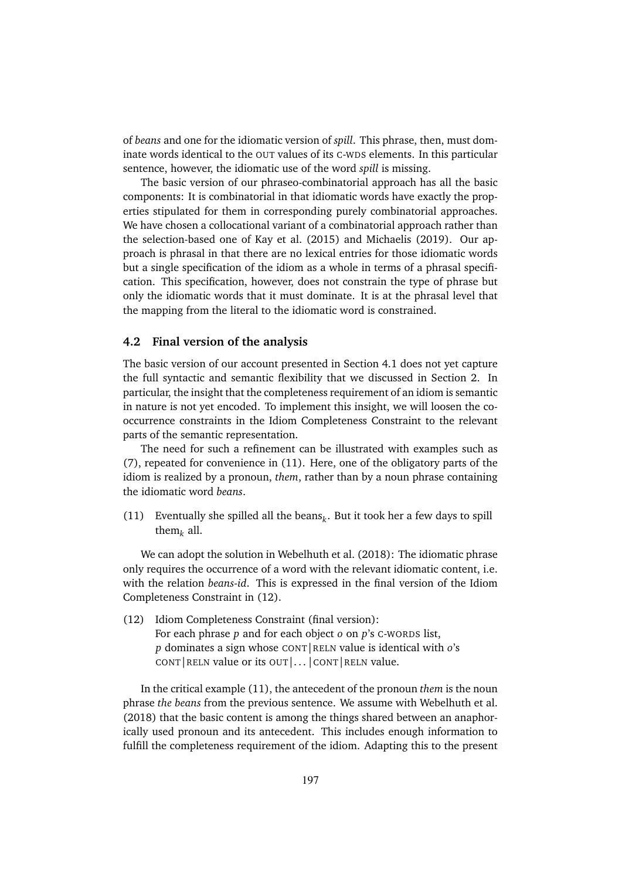of *beans* and one for the idiomatic version of *spill*. This phrase, then, must dominate words identical to the OUT values of its C-WDS elements. In this particular sentence, however, the idiomatic use of the word *spill* is missing.

The basic version of our phraseo-combinatorial approach has all the basic components: It is combinatorial in that idiomatic words have exactly the properties stipulated for them in corresponding purely combinatorial approaches. We have chosen a collocational variant of a combinatorial approach rather than the selection-based one of Kay et al. (2015) and Michaelis (2019). Our approach is phrasal in that there are no lexical entries for those idiomatic words but a single specification of the idiom as a whole in terms of a phrasal specification. This specification, however, does not constrain the type of phrase but only the idiomatic words that it must dominate. It is at the phrasal level that the mapping from the literal to the idiomatic word is constrained.

#### **4.2 Final version of the analysis**

The basic version of our account presented in Section 4.1 does not yet capture the full syntactic and semantic flexibility that we discussed in Section 2. In particular, the insight that the completeness requirement of an idiom is semantic in nature is not yet encoded. To implement this insight, we will loosen the cooccurrence constraints in the Idiom Completeness Constraint to the relevant parts of the semantic representation.

The need for such a refinement can be illustrated with examples such as (7), repeated for convenience in (11). Here, one of the obligatory parts of the idiom is realized by a pronoun, *them*, rather than by a noun phrase containing the idiomatic word *beans*.

(11) Eventually she spilled all the beans $_k$ . But it took her a few days to spill them*<sup>k</sup>* all.

We can adopt the solution in Webelhuth et al. (2018): The idiomatic phrase only requires the occurrence of a word with the relevant idiomatic content, i.e. with the relation *beans-id*. This is expressed in the final version of the Idiom Completeness Constraint in (12).

(12) Idiom Completeness Constraint (final version): For each phrase *p* and for each object *o* on *p*'s C-WORDS list, *p* dominates a sign whose CONT|RELN value is identical with *o*'s CONT | RELN value or its OUT | ... | CONT | RELN value.

In the critical example (11), the antecedent of the pronoun *them* is the noun phrase *the beans* from the previous sentence. We assume with Webelhuth et al. (2018) that the basic content is among the things shared between an anaphorically used pronoun and its antecedent. This includes enough information to fulfill the completeness requirement of the idiom. Adapting this to the present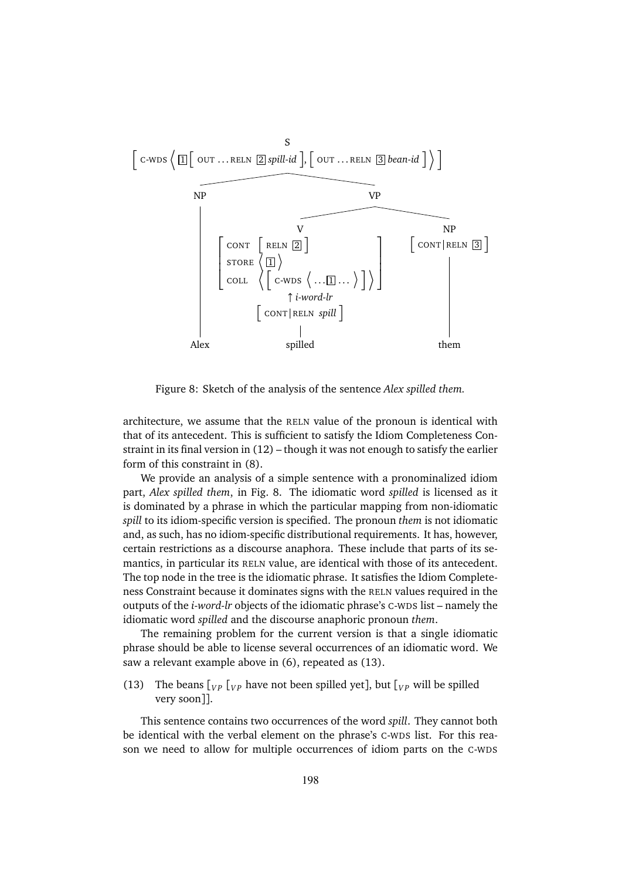

Figure 8: Sketch of the analysis of the sentence *Alex spilled them.*

architecture, we assume that the RELN value of the pronoun is identical with that of its antecedent. This is sufficient to satisfy the Idiom Completeness Constraint in its final version in (12) – though it was not enough to satisfy the earlier form of this constraint in (8).

We provide an analysis of a simple sentence with a pronominalized idiom part, *Alex spilled them*, in Fig. 8. The idiomatic word *spilled* is licensed as it is dominated by a phrase in which the particular mapping from non-idiomatic *spill* to its idiom-specific version is specified. The pronoun *them* is not idiomatic and, as such, has no idiom-specific distributional requirements. It has, however, certain restrictions as a discourse anaphora. These include that parts of its semantics, in particular its RELN value, are identical with those of its antecedent. The top node in the tree is the idiomatic phrase. It satisfies the Idiom Completeness Constraint because it dominates signs with the RELN values required in the outputs of the *i-word-lr* objects of the idiomatic phrase's C-WDS list – namely the idiomatic word *spilled* and the discourse anaphoric pronoun *them*.

The remaining problem for the current version is that a single idiomatic phrase should be able to license several occurrences of an idiomatic word. We saw a relevant example above in (6), repeated as (13).

(13) The beans  $\begin{bmatrix} V_P & V_V \end{bmatrix}$  have not been spilled yet], but  $\begin{bmatrix} V_P & W \end{bmatrix}$  be spilled very soon]].

This sentence contains two occurrences of the word *spill*. They cannot both be identical with the verbal element on the phrase's C-WDS list. For this reason we need to allow for multiple occurrences of idiom parts on the C-WDS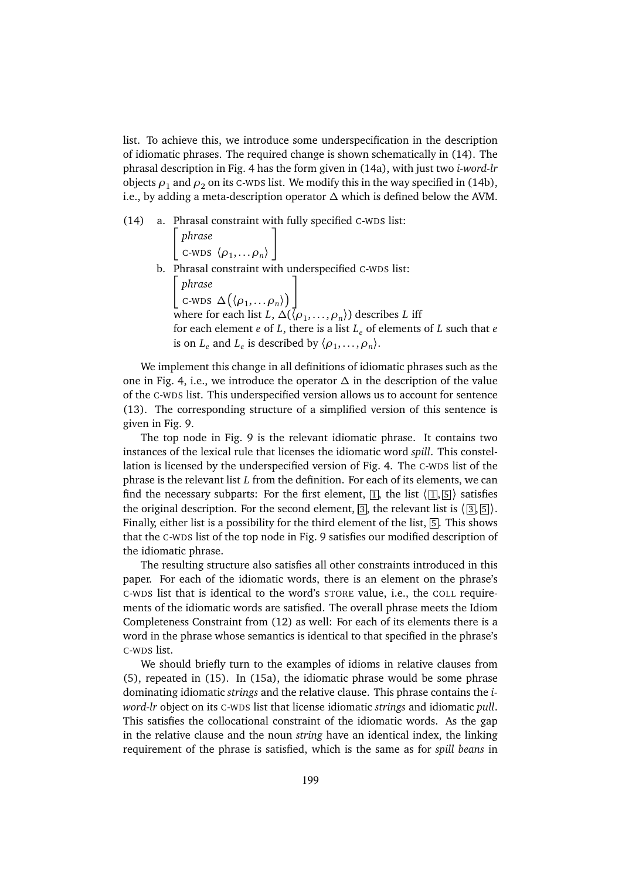list. To achieve this, we introduce some underspecification in the description of idiomatic phrases. The required change is shown schematically in (14). The phrasal description in Fig. 4 has the form given in (14a), with just two *i-word-lr* objects  $\rho_1$  and  $\rho_2$  on its C-WDS list. We modify this in the way specified in (14b), i.e., by adding a meta-description operator *∆* which is defined below the AVM.

(14) a. Phrasal constraint with fully specified C-WDS list:

 *phrase*  $\langle \rho_1, \ldots \rho_n \rangle$ ı b. Phrasal constraint with underspecified C-WDS list: *phrase*  $\textsf{c}\text{-}\textsf{wds} \Delta\big(\langle \rho_1, \ldots \rho_n \rangle\big)$ ٦ where for each list *L*,  $\Delta(\langle \rho_1,\ldots,\rho_n \rangle)$  describes *L* iff for each element *e* of *L*, there is a list *L<sup>e</sup>* of elements of *L* such that *e* is on  $L_e$  and  $L_e$  is described by  $\langle \rho_1, \ldots, \rho_n \rangle$ .

We implement this change in all definitions of idiomatic phrases such as the one in Fig. 4, i.e., we introduce the operator  $\Delta$  in the description of the value of the C-WDS list. This underspecified version allows us to account for sentence (13). The corresponding structure of a simplified version of this sentence is given in Fig. 9.

The top node in Fig. 9 is the relevant idiomatic phrase. It contains two instances of the lexical rule that licenses the idiomatic word *spill*. This constellation is licensed by the underspecified version of Fig. 4. The C-WDS list of the phrase is the relevant list *L* from the definition. For each of its elements, we can find the necessary subparts: For the first element,  $[1]$ , the list  $\langle 1, 5 \rangle$  satisfies the original description. For the second element,  $\boxed{3}$ , the relevant list is  $\bra{3}$ ,  $\boxed{5}$ ). Finally, either list is a possibility for the third element of the list, [5]. This shows that the C-WDS list of the top node in Fig. 9 satisfies our modified description of the idiomatic phrase.

The resulting structure also satisfies all other constraints introduced in this paper. For each of the idiomatic words, there is an element on the phrase's C-WDS list that is identical to the word's STORE value, i.e., the COLL requirements of the idiomatic words are satisfied. The overall phrase meets the Idiom Completeness Constraint from (12) as well: For each of its elements there is a word in the phrase whose semantics is identical to that specified in the phrase's C-WDS list.

We should briefly turn to the examples of idioms in relative clauses from (5), repeated in (15). In (15a), the idiomatic phrase would be some phrase dominating idiomatic *strings* and the relative clause. This phrase contains the *iword-lr* object on its C-WDS list that license idiomatic *strings* and idiomatic *pull*. This satisfies the collocational constraint of the idiomatic words. As the gap in the relative clause and the noun *string* have an identical index, the linking requirement of the phrase is satisfied, which is the same as for *spill beans* in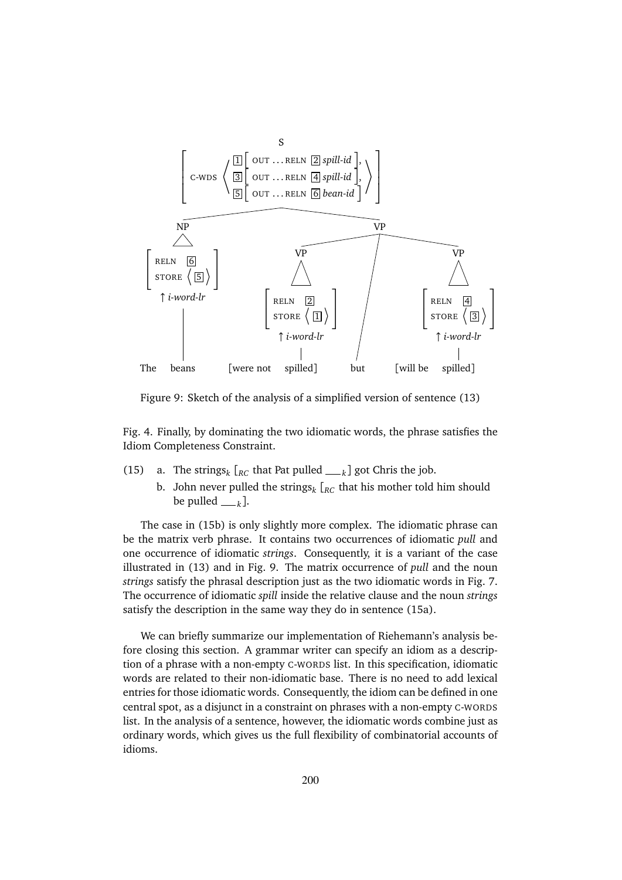

Figure 9: Sketch of the analysis of a simplified version of sentence (13)

Fig. 4. Finally, by dominating the two idiomatic words, the phrase satisfies the Idiom Completeness Constraint.

- (15) a. The strings<sub>k</sub>  $\left[_{RC}$  that Pat pulled <sub>*k*</sub></sub> got Chris the job.
	- b. John never pulled the strings*<sup>k</sup>* [*RC* that his mother told him should be pulled  $_{k}$ ].

The case in (15b) is only slightly more complex. The idiomatic phrase can be the matrix verb phrase. It contains two occurrences of idiomatic *pull* and one occurrence of idiomatic *strings*. Consequently, it is a variant of the case illustrated in (13) and in Fig. 9. The matrix occurrence of *pull* and the noun *strings* satisfy the phrasal description just as the two idiomatic words in Fig. 7. The occurrence of idiomatic *spill* inside the relative clause and the noun *strings* satisfy the description in the same way they do in sentence (15a).

We can briefly summarize our implementation of Riehemann's analysis before closing this section. A grammar writer can specify an idiom as a description of a phrase with a non-empty C-WORDS list. In this specification, idiomatic words are related to their non-idiomatic base. There is no need to add lexical entries for those idiomatic words. Consequently, the idiom can be defined in one central spot, as a disjunct in a constraint on phrases with a non-empty C-WORDS list. In the analysis of a sentence, however, the idiomatic words combine just as ordinary words, which gives us the full flexibility of combinatorial accounts of idioms.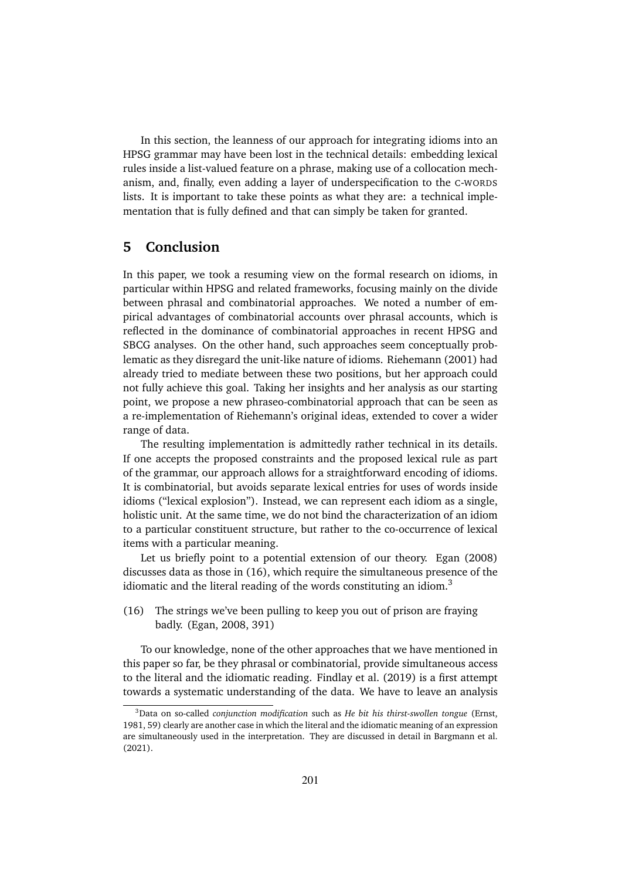In this section, the leanness of our approach for integrating idioms into an HPSG grammar may have been lost in the technical details: embedding lexical rules inside a list-valued feature on a phrase, making use of a collocation mechanism, and, finally, even adding a layer of underspecification to the C-WORDS lists. It is important to take these points as what they are: a technical implementation that is fully defined and that can simply be taken for granted.

### **5 Conclusion**

In this paper, we took a resuming view on the formal research on idioms, in particular within HPSG and related frameworks, focusing mainly on the divide between phrasal and combinatorial approaches. We noted a number of empirical advantages of combinatorial accounts over phrasal accounts, which is reflected in the dominance of combinatorial approaches in recent HPSG and SBCG analyses. On the other hand, such approaches seem conceptually problematic as they disregard the unit-like nature of idioms. Riehemann (2001) had already tried to mediate between these two positions, but her approach could not fully achieve this goal. Taking her insights and her analysis as our starting point, we propose a new phraseo-combinatorial approach that can be seen as a re-implementation of Riehemann's original ideas, extended to cover a wider range of data.

The resulting implementation is admittedly rather technical in its details. If one accepts the proposed constraints and the proposed lexical rule as part of the grammar, our approach allows for a straightforward encoding of idioms. It is combinatorial, but avoids separate lexical entries for uses of words inside idioms ("lexical explosion"). Instead, we can represent each idiom as a single, holistic unit. At the same time, we do not bind the characterization of an idiom to a particular constituent structure, but rather to the co-occurrence of lexical items with a particular meaning.

Let us briefly point to a potential extension of our theory. Egan (2008) discusses data as those in (16), which require the simultaneous presence of the idiomatic and the literal reading of the words constituting an idiom. $3$ 

(16) The strings we've been pulling to keep you out of prison are fraying badly. (Egan, 2008, 391)

To our knowledge, none of the other approaches that we have mentioned in this paper so far, be they phrasal or combinatorial, provide simultaneous access to the literal and the idiomatic reading. Findlay et al. (2019) is a first attempt towards a systematic understanding of the data. We have to leave an analysis

<sup>3</sup>Data on so-called *conjunction modification* such as *He bit his thirst-swollen tongue* (Ernst, 1981, 59) clearly are another case in which the literal and the idiomatic meaning of an expression are simultaneously used in the interpretation. They are discussed in detail in Bargmann et al. (2021).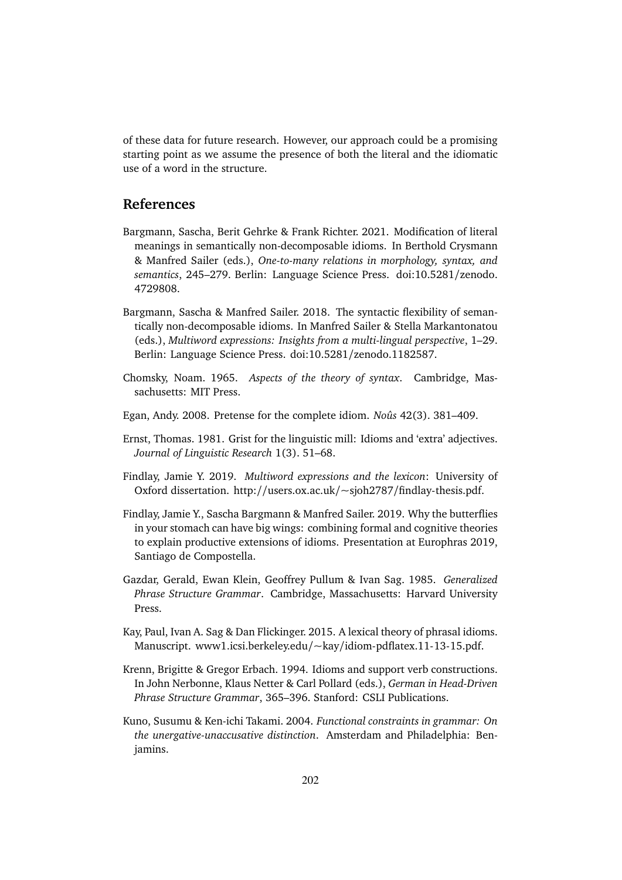of these data for future research. However, our approach could be a promising starting point as we assume the presence of both the literal and the idiomatic use of a word in the structure.

## **References**

- Bargmann, Sascha, Berit Gehrke & Frank Richter. 2021. Modification of literal meanings in semantically non-decomposable idioms. In Berthold Crysmann & Manfred Sailer (eds.), *One-to-many relations in morphology, syntax, and semantics*, 245–279. Berlin: Language Science Press. doi:10.5281/zenodo. 4729808.
- Bargmann, Sascha & Manfred Sailer. 2018. The syntactic flexibility of semantically non-decomposable idioms. In Manfred Sailer & Stella Markantonatou (eds.), *Multiword expressions: Insights from a multi-lingual perspective*, 1–29. Berlin: Language Science Press. doi:10.5281/zenodo.1182587.
- Chomsky, Noam. 1965. *Aspects of the theory of syntax*. Cambridge, Massachusetts: MIT Press.
- Egan, Andy. 2008. Pretense for the complete idiom. *Noûs* 42(3). 381–409.
- Ernst, Thomas. 1981. Grist for the linguistic mill: Idioms and 'extra' adjectives. *Journal of Linguistic Research* 1(3). 51–68.
- Findlay, Jamie Y. 2019. *Multiword expressions and the lexicon*: University of Oxford dissertation. http://users.ox.ac.uk/~sjoh2787/findlay-thesis.pdf.
- Findlay, Jamie Y., Sascha Bargmann & Manfred Sailer. 2019. Why the butterflies in your stomach can have big wings: combining formal and cognitive theories to explain productive extensions of idioms. Presentation at Europhras 2019, Santiago de Compostella.
- Gazdar, Gerald, Ewan Klein, Geoffrey Pullum & Ivan Sag. 1985. *Generalized Phrase Structure Grammar*. Cambridge, Massachusetts: Harvard University Press.
- Kay, Paul, Ivan A. Sag & Dan Flickinger. 2015. A lexical theory of phrasal idioms. Manuscript. www1.icsi.berkeley.edu/~kay/idiom-pdflatex.11-13-15.pdf.
- Krenn, Brigitte & Gregor Erbach. 1994. Idioms and support verb constructions. In John Nerbonne, Klaus Netter & Carl Pollard (eds.), *German in Head-Driven Phrase Structure Grammar*, 365–396. Stanford: CSLI Publications.
- Kuno, Susumu & Ken-ichi Takami. 2004. *Functional constraints in grammar: On the unergative-unaccusative distinction*. Amsterdam and Philadelphia: Benjamins.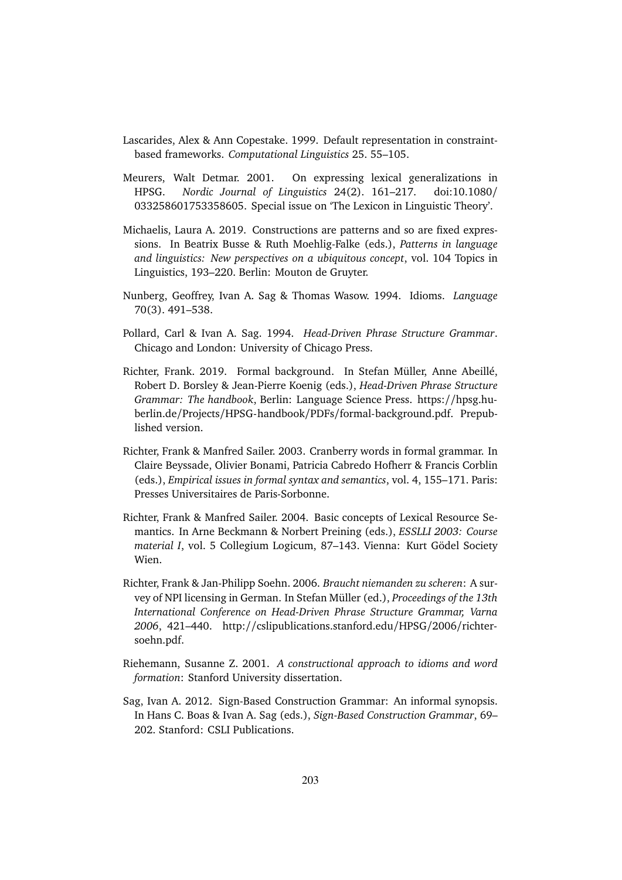- Lascarides, Alex & Ann Copestake. 1999. Default representation in constraintbased frameworks. *Computational Linguistics* 25. 55–105.
- Meurers, Walt Detmar. 2001. On expressing lexical generalizations in HPSG. *Nordic Journal of Linguistics* 24(2). 161–217. doi:10.1080/ 033258601753358605. Special issue on 'The Lexicon in Linguistic Theory'.
- Michaelis, Laura A. 2019. Constructions are patterns and so are fixed expressions. In Beatrix Busse & Ruth Moehlig-Falke (eds.), *Patterns in language and linguistics: New perspectives on a ubiquitous concept*, vol. 104 Topics in Linguistics, 193–220. Berlin: Mouton de Gruyter.
- Nunberg, Geoffrey, Ivan A. Sag & Thomas Wasow. 1994. Idioms. *Language* 70(3). 491–538.
- Pollard, Carl & Ivan A. Sag. 1994. *Head-Driven Phrase Structure Grammar*. Chicago and London: University of Chicago Press.
- Richter, Frank. 2019. Formal background. In Stefan Müller, Anne Abeillé, Robert D. Borsley & Jean-Pierre Koenig (eds.), *Head-Driven Phrase Structure Grammar: The handbook*, Berlin: Language Science Press. https://hpsg.huberlin.de/Projects/HPSG-handbook/PDFs/formal-background.pdf. Prepublished version.
- Richter, Frank & Manfred Sailer. 2003. Cranberry words in formal grammar. In Claire Beyssade, Olivier Bonami, Patricia Cabredo Hofherr & Francis Corblin (eds.), *Empirical issues in formal syntax and semantics*, vol. 4, 155–171. Paris: Presses Universitaires de Paris-Sorbonne.
- Richter, Frank & Manfred Sailer. 2004. Basic concepts of Lexical Resource Semantics. In Arne Beckmann & Norbert Preining (eds.), *ESSLLI 2003: Course material I*, vol. 5 Collegium Logicum, 87–143. Vienna: Kurt Gödel Society Wien.
- Richter, Frank & Jan-Philipp Soehn. 2006. *Braucht niemanden zu scheren*: A survey of NPI licensing in German. In Stefan Müller (ed.), *Proceedings of the 13th International Conference on Head-Driven Phrase Structure Grammar, Varna 2006*, 421–440. http://cslipublications.stanford.edu/HPSG/2006/richtersoehn.pdf.
- Riehemann, Susanne Z. 2001. *A constructional approach to idioms and word formation*: Stanford University dissertation.
- Sag, Ivan A. 2012. Sign-Based Construction Grammar: An informal synopsis. In Hans C. Boas & Ivan A. Sag (eds.), *Sign-Based Construction Grammar*, 69– 202. Stanford: CSLI Publications.